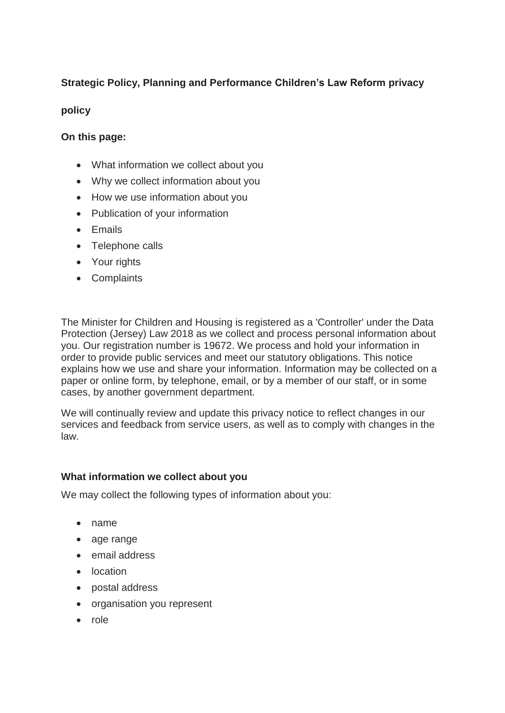# **Strategic Policy, Planning and Performance Children's Law Reform privacy**

### **policy**

## **On this page:**

- What information we collect about you
- Why we collect information about you
- How we use information about you
- Publication of your information
- Emails
- Telephone calls
- Your rights
- Complaints

The Minister for Children and Housing is registered as a 'Controller' under the Data Protection (Jersey) Law 2018 as we collect and process personal information about you. Our registration number is 19672. We process and hold your information in order to provide public services and meet our statutory obligations. This notice explains how we use and share your information. Information may be collected on a paper or online form, by telephone, email, or by a member of our staff, or in some cases, by another government department.

We will continually review and update this privacy notice to reflect changes in our services and feedback from service users, as well as to comply with changes in the law.

### **What information we collect about you**

We may collect the following types of information about you:

- name
- age range
- email address
- location
- postal address
- organisation you represent
- role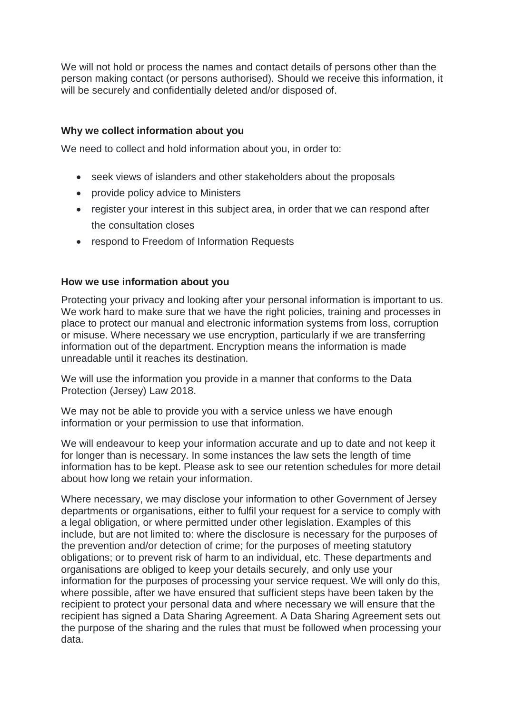We will not hold or process the names and contact details of persons other than the person making contact (or persons authorised). Should we receive this information, it will be securely and confidentially deleted and/or disposed of.

### **Why we collect information about you**

We need to collect and hold information about you, in order to:

- seek views of islanders and other stakeholders about the proposals
- provide policy advice to Ministers
- register your interest in this subject area, in order that we can respond after the consultation closes
- respond to Freedom of Information Requests

### **How we use information about you**

Protecting your privacy and looking after your personal information is important to us. We work hard to make sure that we have the right policies, training and processes in place to protect our manual and electronic information systems from loss, corruption or misuse. Where necessary we use encryption, particularly if we are transferring information out of the department. Encryption means the information is made unreadable until it reaches its destination.

We will use the information you provide in a manner that conforms to the Data Protection (Jersey) Law 2018.

We may not be able to provide you with a service unless we have enough information or your permission to use that information.

We will endeavour to keep your information accurate and up to date and not keep it for longer than is necessary. In some instances the law sets the length of time information has to be kept. Please ask to see our retention schedules for more detail about how long we retain your information.

Where necessary, we may disclose your information to other Government of Jersey departments or organisations, either to fulfil your request for a service to comply with a legal obligation, or where permitted under other legislation. Examples of this include, but are not limited to: where the disclosure is necessary for the purposes of the prevention and/or detection of crime; for the purposes of meeting statutory obligations; or to prevent risk of harm to an individual, etc. These departments and organisations are obliged to keep your details securely, and only use your information for the purposes of processing your service request. We will only do this, where possible, after we have ensured that sufficient steps have been taken by the recipient to protect your personal data and where necessary we will ensure that the recipient has signed a Data Sharing Agreement. A Data Sharing Agreement sets out the purpose of the sharing and the rules that must be followed when processing your data.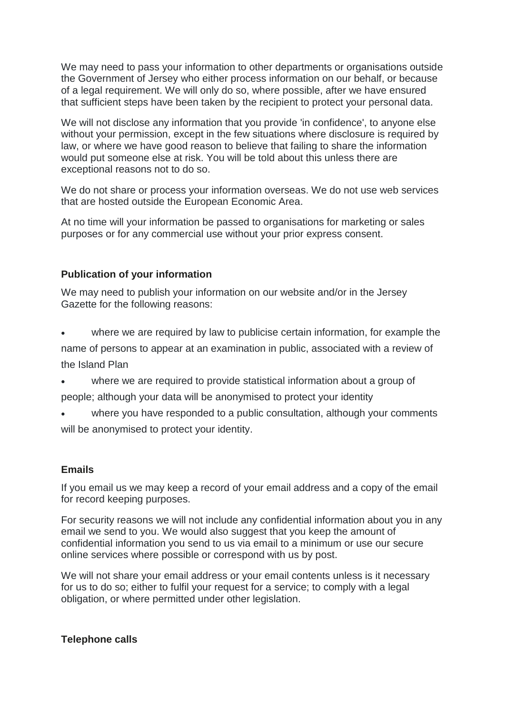We may need to pass your information to other departments or organisations outside the Government of Jersey who either process information on our behalf, or because of a legal requirement. We will only do so, where possible, after we have ensured that sufficient steps have been taken by the recipient to protect your personal data.

We will not disclose any information that you provide 'in confidence', to anyone else without your permission, except in the few situations where disclosure is required by law, or where we have good reason to believe that failing to share the information would put someone else at risk. You will be told about this unless there are exceptional reasons not to do so.

We do not share or process your information overseas. We do not use web services that are hosted outside the European Economic Area.

At no time will your information be passed to organisations for marketing or sales purposes or for any commercial use without your prior express consent.

### **Publication of your information**

We may need to publish your information on our website and/or in the Jersey Gazette for the following reasons:

- where we are required by law to publicise certain information, for example the name of persons to appear at an examination in public, associated with a review of the Island Plan
- where we are required to provide statistical information about a group of people; although your data will be anonymised to protect your identity
- where you have responded to a public consultation, although your comments will be anonymised to protect your identity.

### **Emails**

If you email us we may keep a record of your email address and a copy of the email for record keeping purposes.

For security reasons we will not include any confidential information about you in any email we send to you. We would also suggest that you keep the amount of confidential information you send to us via email to a minimum or use our secure online services where possible or correspond with us by post.

We will not share your email address or your email contents unless is it necessary for us to do so; either to fulfil your request for a service; to comply with a legal obligation, or where permitted under other legislation.

### **Telephone calls**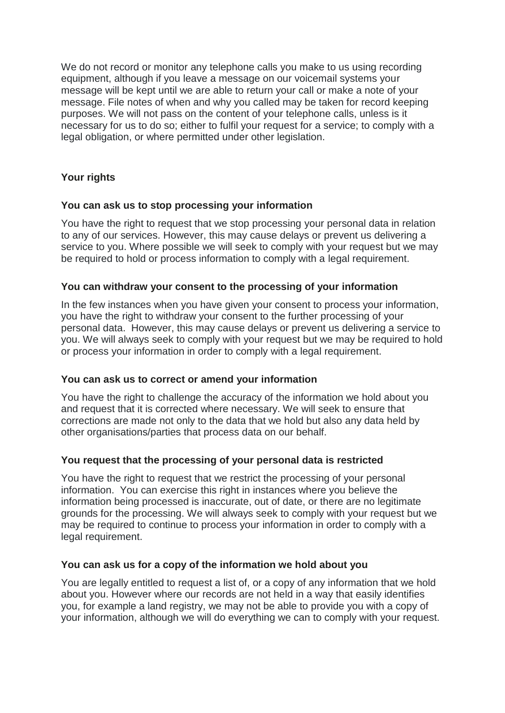We do not record or monitor any telephone calls you make to us using recording equipment, although if you leave a message on our voicemail systems your message will be kept until we are able to return your call or make a note of your message. File notes of when and why you called may be taken for record keeping purposes. We will not pass on the content of your telephone calls, unless is it necessary for us to do so; either to fulfil your request for a service; to comply with a legal obligation, or where permitted under other legislation.

## **Your rights**

### **You can ask us to stop processing your information**

You have the right to request that we stop processing your personal data in relation to any of our services. However, this may cause delays or prevent us delivering a service to you. Where possible we will seek to comply with your request but we may be required to hold or process information to comply with a legal requirement.

#### **You can withdraw your consent to the processing of your information**

In the few instances when you have given your consent to process your information, you have the right to withdraw your consent to the further processing of your personal data. However, this may cause delays or prevent us delivering a service to you. We will always seek to comply with your request but we may be required to hold or process your information in order to comply with a legal requirement.

### **You can ask us to correct or amend your information**

You have the right to challenge the accuracy of the information we hold about you and request that it is corrected where necessary. We will seek to ensure that corrections are made not only to the data that we hold but also any data held by other organisations/parties that process data on our behalf.

#### **You request that the processing of your personal data is restricted**

You have the right to request that we restrict the processing of your personal information. You can exercise this right in instances where you believe the information being processed is inaccurate, out of date, or there are no legitimate grounds for the processing. We will always seek to comply with your request but we may be required to continue to process your information in order to comply with a legal requirement.

#### **You can ask us for a copy of the information we hold about you**

You are legally entitled to request a list of, or a copy of any information that we hold about you. However where our records are not held in a way that easily identifies you, for example a land registry, we may not be able to provide you with a copy of your information, although we will do everything we can to comply with your request.